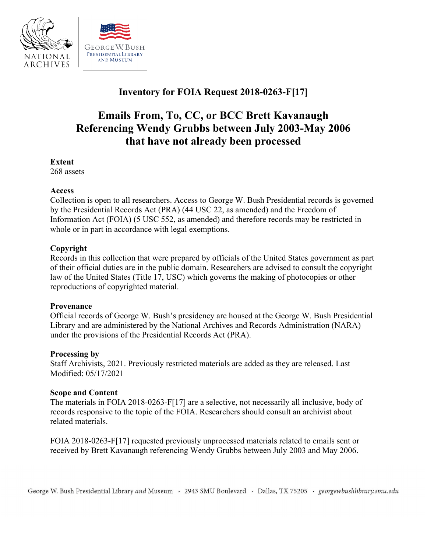

# **Inventory for FOIA Request 2018-0263-F[17]**

# **Emails From, To, CC, or BCC Brett Kavanaugh Referencing Wendy Grubbs between July 2003-May 2006 that have not already been processed**

#### **Extent**

268 assets

#### **Access**

Collection is open to all researchers. Access to George W. Bush Presidential records is governed by the Presidential Records Act (PRA) (44 USC 22, as amended) and the Freedom of Information Act (FOIA) (5 USC 552, as amended) and therefore records may be restricted in whole or in part in accordance with legal exemptions.

# **Copyright**

 of their official duties are in the public domain. Researchers are advised to consult the copyright Records in this collection that were prepared by officials of the United States government as part law of the United States (Title 17, USC) which governs the making of photocopies or other reproductions of copyrighted material.

# **Provenance**

 Official records of George W. Bush's presidency are housed at the George W. Bush Presidential Library and are administered by the National Archives and Records Administration (NARA) under the provisions of the Presidential Records Act (PRA).

#### **Processing by**

Staff Archivists, 2021. Previously restricted materials are added as they are released. Last Modified: 05/17/2021

# **Scope and Content**

 The materials in FOIA 2018-0263-F[17] are a selective, not necessarily all inclusive, body of records responsive to the topic of the FOIA. Researchers should consult an archivist about related materials.

 FOIA 2018-0263-F[17] requested previously unprocessed materials related to emails sent or received by Brett Kavanaugh referencing Wendy Grubbs between July 2003 and May 2006.

George W. Bush Presidential Library *and* Museum , 2943 SMU Boulevard , Dallas, TX 75205 , *georgewbushlibrary.smu.edu*